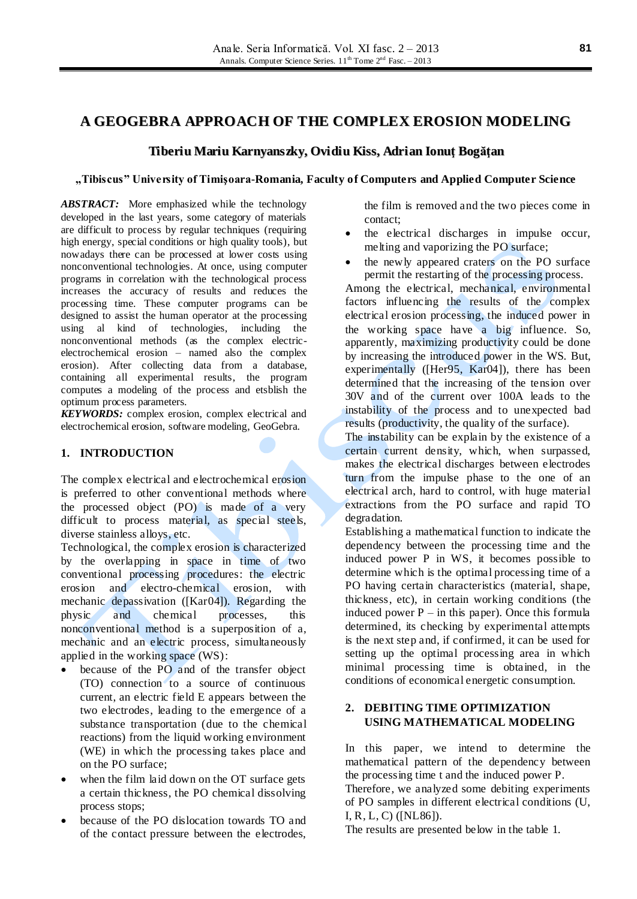# **A GEOGEBRA APPROACH OF THE COMPLEX EROSION MODELING**

# **Tiberiu Mariu Karnyanszky, Ovidiu Kiss, Adrian Ionuţ Bogăţan**

### **"Tibiscus" University of Timişoara-Romania, Faculty of Computers and Applied Computer Science**

*ABSTRACT:* More emphasized while the technology developed in the last years, some category of materials are difficult to process by regular techniques (requiring high energy, special conditions or high quality tools), but nowadays there can be processed at lower costs using nonconventional technologies. At once, using computer programs in correlation with the technological process increases the accuracy of results and reduces the processing time. These computer programs can be designed to assist the human operator at the processing using al kind of technologies, including the nonconventional methods (as the complex electricelectrochemical erosion – named also the complex erosion). After collecting data from a database, containing all experimental results, the program computes a modeling of the process and etsblish the optimum process parameters.

*KEYWORDS:* complex erosion, complex electrical and electrochemical erosion, software modeling, GeoGebra.

## **1. INTRODUCTION**

The complex electrical and electrochemical erosion is preferred to other conventional methods where the processed object (PO) is made of a very difficult to process material, as special steels, diverse stainless alloys, etc.

Technological, the complex erosion is characterized by the overlapping in space in time of two conventional processing procedures: the electric erosion and electro-chemical erosion, with mechanic depassivation ([Kar04]). Regarding the physic and chemical processes, this nonconventional method is a superposition of a, mechanic and an electric process, simultaneously applied in the working space (WS):

- because of the PO and of the transfer object (TO) connection to a source of continuous current, an electric field E appears between the two electrodes, leading to the emergence of a substance transportation (due to the chemical reactions) from the liquid working environment (WE) in which the processing takes place and on the PO surface;
- when the film laid down on the OT surface gets a certain thickness, the PO chemical dissolving process stops;
- because of the PO dislocation towards TO and of the contact pressure between the electrodes,

the film is removed and the two pieces come in contact;

- the electrical discharges in impulse occur, melting and vaporizing the PO surface;
- the newly appeared craters on the PO surface permit the restarting of the processing process.

Among the electrical, mechanical, environmental factors influencing the results of the complex electrical erosion processing, the induced power in the working space have a big influence. So, apparently, maximizing productivity could be done by increasing the introduced power in the WS. But, experimentally ([Her95, Kar04]), there has been determined that the increasing of the tension over 30V and of the current over 100A leads to the instability of the process and to unexpected bad results (productivity, the quality of the surface).

The instability can be explain by the existence of a certain current density, which, when surpassed, makes the electrical discharges between electrodes turn from the impulse phase to the one of an electrical arch, hard to control, with huge material extractions from the PO surface and rapid TO degradation.

Establishing a mathematical function to indicate the dependency between the processing time and the induced power P in WS, it becomes possible to determine which is the optimal processing time of a PO having certain characteristics (material, shape, thickness, etc), in certain working conditions (the induced power  $P - in this paper$ ). Once this formula determined, its checking by experimental attempts is the next step and, if confirmed, it can be used for setting up the optimal processing area in which minimal processing time is obtained, in the conditions of economical energetic consumption.

# **2. DEBITING TIME OPTIMIZATION USING MATHEMATICAL MODELING**

In this paper, we intend to determine the mathematical pattern of the dependency between the processing time t and the induced power P. Therefore, we analyzed some debiting experiments of PO samples in different electrical conditions (U, I, R, L, C) ([NL86]).

The results are presented below in the table 1.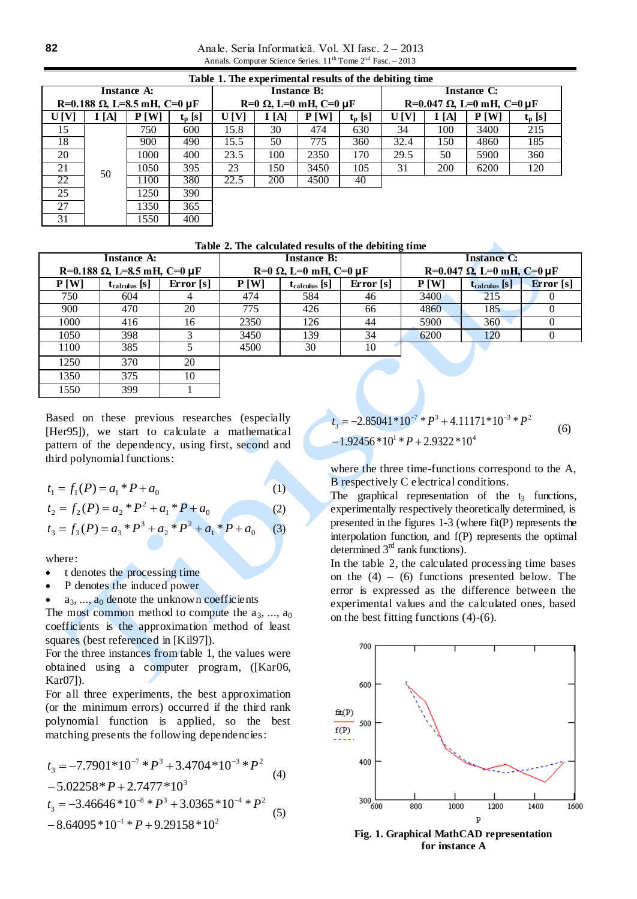Anale. Seria Informatică. Vol. XI fasc. 2 – 2013 Annals. Computer Science Series.  $11^{th}$  Tome  $2^{nd}$  Fasc. – 2013

| Table 1. The experimental results of the debiting time |      |      |             |                                      |      |      |                 |                                   |      |      |           |
|--------------------------------------------------------|------|------|-------------|--------------------------------------|------|------|-----------------|-----------------------------------|------|------|-----------|
| <b>Instance A:</b>                                     |      |      |             | <b>Instance B:</b>                   |      |      |                 | Instance C:                       |      |      |           |
| R=0.188 $\Omega$ , L=8.5 mH, C=0 µF                    |      |      |             | $R=0$ $\Omega$ , L=0 mH, C=0 $\mu$ F |      |      |                 | R=0.047 $\Omega$ , L=0 mH, C=0 µF |      |      |           |
| U[V]                                                   | I[A] | P[W] | $t_{p}$ [s] | U[V]                                 | I[A] | P[W] | $t_{\rm p}$ [s] | U[V]                              | I[A] | P[W] | $t_p$ [s] |
| 15                                                     |      | 750  | 600         | 15.8                                 | 30   | 474  | 630             | 34                                | 100  | 3400 | 215       |
| 18                                                     |      | 900  | 490         | 15.5                                 | 50   | 775  | 360             | 32.4                              | 150  | 4860 | 185       |
| 20                                                     |      | 1000 | 400         | 23.5                                 | 100  | 2350 | 170             | 29.5                              | 50   | 5900 | 360       |
| 21                                                     | 50   | 1050 | 395         | 23                                   | 150  | 3450 | 105             | 31                                | 200  | 6200 | 120       |
| 22                                                     |      | 1100 | 380         | 22.5                                 | 200  | 4500 | 40              |                                   |      |      |           |
| 25                                                     |      | 1250 | 390         |                                      |      |      |                 |                                   |      |      |           |
| 27                                                     |      | 1350 | 365         |                                      |      |      |                 |                                   |      |      |           |
| 31                                                     |      | 1550 | 400         |                                      |      |      |                 |                                   |      |      |           |

#### **Table 2. The calculated results of the debiting time**

|      | <b>Instance A:</b>                  |             |      | <b>Instance B:</b>                   |             | <b>Instance C:</b>                |                    |             |  |
|------|-------------------------------------|-------------|------|--------------------------------------|-------------|-----------------------------------|--------------------|-------------|--|
|      | R=0.188 $\Omega$ , L=8.5 mH, C=0 µF |             |      | $R=0$ $\Omega$ , L=0 mH, C=0 $\mu$ F |             | R=0.047 $\Omega$ , L=0 mH, C=0 µF |                    |             |  |
| P[W] | $t_{calculus}$ [s]                  | Error $[s]$ | P[W] | $t_{\text{calculus}}$ [s]            | Error $[s]$ | P[W]                              | $t_{calculus}$ [S] | Error $[s]$ |  |
| 750  | 604                                 | 4           | 474  | 584                                  | 46          | 3400                              | 215                |             |  |
| 900  | 470                                 | 20          | 775  | 426                                  | 66          | 4860                              | 185                |             |  |
| 1000 | 416                                 | 16          | 2350 | 126                                  | 44          | 5900                              | 360                |             |  |
| 1050 | 398                                 |             | 3450 | 139                                  | 34          | 6200                              | 120                |             |  |
| 1100 | 385                                 |             | 4500 | 30                                   | 10          |                                   |                    |             |  |
| 1250 | 370                                 | 20          |      |                                      |             |                                   |                    |             |  |
| 1350 | 375                                 | 10          |      |                                      |             |                                   |                    |             |  |

Based on these previous researches (especially [Her95]), we start to calculate a mathematical pattern of the dependency, using first, second and third polynomial functions:

$$
t_1 = f_1(P) = a_1 * P + a_0
$$
\n
$$
t_2 = f_2(P) = a_2 * P^2 + a_1 * P + a_0
$$
\n
$$
t_3 = f_3(P) = a_3 * P^3 + a_2 * P^2 + a_1 * P + a_0
$$
\n(3)

where:

• t denotes the processing time

1550 399 1

P denotes the induced power

 $a_3, \ldots, a_0$  denote the unknown coefficients The most common method to compute the  $a_3, \ldots, a_0$ coefficients is the approximation method of least squares (best referenced in [Kil97]).

For the three instances from table 1, the values were obtained using a computer program, ([Kar06, Kar07]).

For all three experiments, the best approximation (or the minimum errors) occurred if the third rank polynomial function is applied, so the best matching presents the following dependencies:

$$
t_3 = -7.7901*10^{-7} * P^3 + 3.4704*10^{-3} * P^2
$$
  
\n
$$
-5.02258* P + 2.7477*10^3
$$
  
\n
$$
t_3 = -3.46646*10^{-8} * P^3 + 3.0365*10^{-4} * P^2
$$
  
\n
$$
-8.64095*10^{-1} * P + 9.29158*10^2
$$
\n(5)

 $-1.92456*10^{1}*P+2.9322*10^{4}$  $7 * D^3$   $4.11171 * 10^{-3} * D^2$  $t_3 = -2.85041 * 10^{-7} * P^3 + 4.11171 * 10^{-3} * P$ (6)

where the three time-functions correspond to the A, B respectively C electrical conditions.

The graphical representation of the  $t_3$  functions, experimentally respectively theoretically determined, is presented in the figures 1-3 (where fit(P) represents the interpolation function, and f(P) represents the optimal determined  $3<sup>rd</sup>$  rank functions).

In the table 2, the calculated processing time bases on the  $(4) - (6)$  functions presented below. The error is expressed as the difference between the experimental values and the calculated ones, based on the best fitting functions (4)-(6).



**Fig. 1. Graphical MathCAD representation for instance A**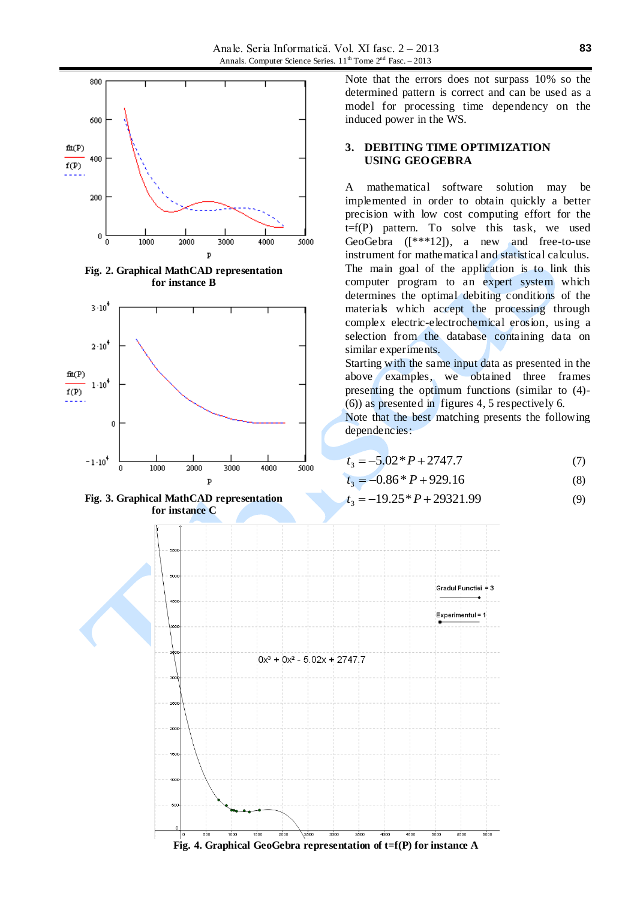

**Fig. 2. Graphical MathCAD representation for instance B**





Note that the errors does not surpass 10% so the determined pattern is correct and can be used as a model for processing time dependency on the induced power in the WS.

### **3. DEBITING TIME OPTIMIZATION USING GEOGEBRA**

A mathematical software solution may be implemented in order to obtain quickly a better precision with low cost computing effort for the  $t=f(P)$  pattern. To solve this task, we used GeoGebra  $([***12])$ , a new and free-to-use instrument for mathematical and statistical calculus. The main goal of the application is to link this computer program to an expert system which determines the optimal debiting conditions of the materials which accept the processing through complex electric-electrochemical erosion, using a selection from the database containing data on similar experiments.

Starting with the same input data as presented in the above examples, we obtained three frames presenting the optimum functions (similar to (4)- (6)) as presented in figures 4, 5 respectively 6.

Note that the best matching presents the following dependencies:

$$
t_3 = -5.02 \cdot P + 2747.7 \tag{7}
$$

$$
t_3 = -0.86 \cdot P + 929.16 \tag{8}
$$

$$
t_3 = -19.25 \cdot P + 29321.99\tag{9}
$$

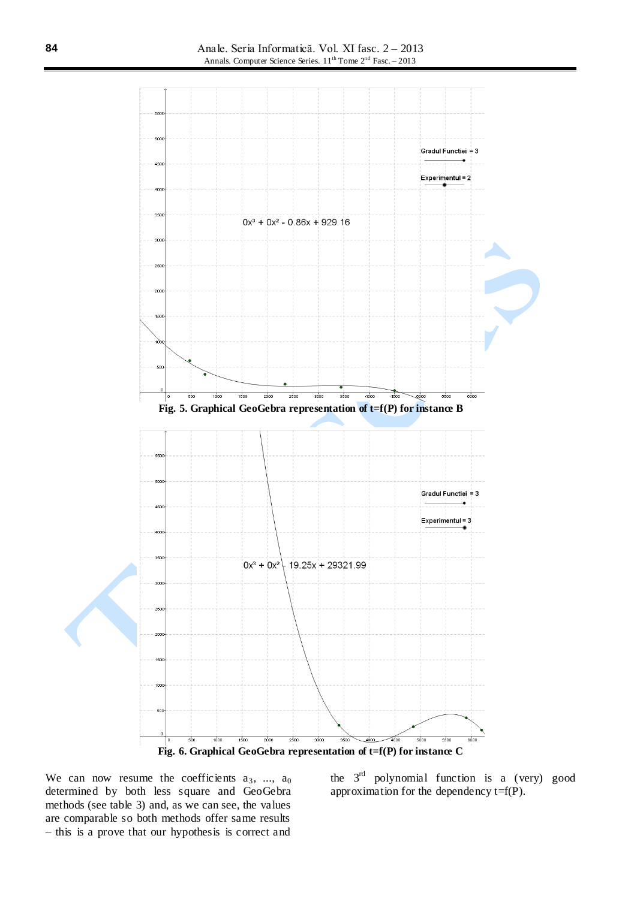

We can now resume the coefficients  $a_3$ , ...,  $a_0$ determined by both less square and GeoGebra methods (see table 3) and, as we can see, the values are comparable so both methods offer same results – this is a prove that our hypothesis is correct and

the  $3<sup>rd</sup>$  polynomial function is a (very) good approximation for the dependency t=f(P).